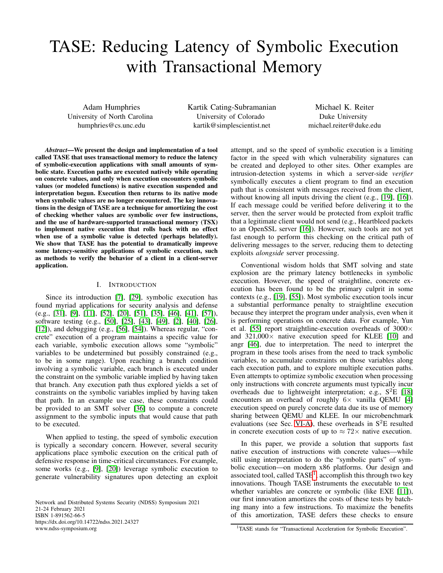# TASE: Reducing Latency of Symbolic Execution with Transactional Memory

Adam Humphries University of North Carolina humphries@cs.unc.edu

Kartik Cating-Subramanian University of Colorado kartik@simplescientist.net

Michael K. Reiter Duke University michael.reiter@duke.edu

*Abstract*—We present the design and implementation of a tool called TASE that uses transactional memory to reduce the latency of symbolic-execution applications with small amounts of symbolic state. Execution paths are executed natively while operating on concrete values, and only when execution encounters symbolic values (or modeled functions) is native execution suspended and interpretation begun. Execution then returns to its native mode when symbolic values are no longer encountered. The key innovations in the design of TASE are a technique for amortizing the cost of checking whether values are symbolic over few instructions, and the use of hardware-supported transactional memory (TSX) to implement native execution that rolls back with no effect when use of a symbolic value is detected (perhaps belatedly). We show that TASE has the potential to dramatically improve some latency-sensitive applications of symbolic execution, such as methods to verify the behavior of a client in a client-server application.

## I. INTRODUCTION

Since its introduction [\[7\]](#page-13-0), [\[29\]](#page-13-1), symbolic execution has found myriad applications for security analysis and defense (e.g., [\[31\]](#page-13-2), [\[9\]](#page-13-3), [\[11\]](#page-13-4), [\[52\]](#page-14-0), [\[20\]](#page-13-5), [\[51\]](#page-14-1), [\[35\]](#page-13-6), [\[46\]](#page-14-2), [\[41\]](#page-14-3), [\[57\]](#page-14-4)), software testing (e.g., [\[50\]](#page-14-5), [\[25\]](#page-13-7), [\[43\]](#page-14-6), [\[49\]](#page-14-7), [\[2\]](#page-13-8), [\[40\]](#page-14-8), [\[26\]](#page-13-9), [\[12\]](#page-13-10)), and debugging (e.g., [\[56\]](#page-14-9), [\[54\]](#page-14-10)). Whereas regular, "concrete" execution of a program maintains a specific value for each variable, symbolic execution allows some "symbolic" variables to be undetermined but possibly constrained (e.g., to be in some range). Upon reaching a branch condition involving a symbolic variable, each branch is executed under the constraint on the symbolic variable implied by having taken that branch. Any execution path thus explored yields a set of constraints on the symbolic variables implied by having taken that path. In an example use case, these constraints could be provided to an SMT solver [\[36\]](#page-13-11) to compute a concrete assignment to the symbolic inputs that would cause that path to be executed.

When applied to testing, the speed of symbolic execution is typically a secondary concern. However, several security applications place symbolic execution on the critical path of defensive response in time-critical circumstances. For example, some works (e.g., [\[9\]](#page-13-3), [\[20\]](#page-13-5)) leverage symbolic execution to generate vulnerability signatures upon detecting an exploit

Network and Distributed Systems Security (NDSS) Symposium 2021 21-24 February 2021 ISBN 1-891562-66-5 https://dx.doi.org/10.14722/ndss.2021.24327 www.ndss-symposium.org

attempt, and so the speed of symbolic execution is a limiting factor in the speed with which vulnerability signatures can be created and deployed to other sites. Other examples are intrusion-detection systems in which a server-side *verifier* symbolically executes a client program to find an execution path that is consistent with messages received from the client, without knowing all inputs driving the client (e.g., [\[19\]](#page-13-12), [\[16\]](#page-13-13)). If each message could be verified before delivering it to the server, then the server would be protected from exploit traffic that a legitimate client would not send (e.g., Heartbleed packets to an OpenSSL server [\[16\]](#page-13-13)). However, such tools are not yet fast enough to perform this checking on the critical path of delivering messages to the server, reducing them to detecting exploits *alongside* server processing.

Conventional wisdom holds that SMT solving and state explosion are the primary latency bottlenecks in symbolic execution. However, the speed of straightline, concrete execution has been found to be the primary culprit in some contexts (e.g., [\[19\]](#page-13-12), [\[55\]](#page-14-11)). Most symbolic execution tools incur a substantial performance penalty to straightline execution because they interpret the program under analysis, even when it is performing operations on concrete data. For example, Yun et al. [\[55\]](#page-14-11) report straightline-execution overheads of  $3000 \times$ and  $321,000\times$  native execution speed for KLEE [\[10\]](#page-13-14) and angr [\[46\]](#page-14-2), due to interpretation. The need to interpret the program in these tools arises from the need to track symbolic variables, to accumulate constraints on those variables along each execution path, and to explore multiple execution paths. Even attempts to optimize symbolic execution when processing only instructions with concrete arguments must typically incur overheads due to lightweight interpretation; e.g.,  $S^2E$  [\[18\]](#page-13-15) encounters an overhead of roughly  $6 \times$  vanilla QEMU [\[4\]](#page-13-16) execution speed on purely concrete data due its use of memory sharing between QEMU and KLEE. In our microbenchmark evaluations (see Sec. [VI-A\)](#page-8-0), these overheads in  $S^2E$  resulted in concrete execution costs of up to  $\approx 72 \times$  native execution.

In this paper, we provide a solution that supports fast native execution of instructions with concrete values—while still using interpretation to do the "symbolic parts" of symbolic execution—on modern x86 platforms. Our design and associated tool, called  $TASE<sup>1</sup>$  $TASE<sup>1</sup>$  $TASE<sup>1</sup>$ , accomplish this through two key innovations. Though TASE instruments the executable to test whether variables are concrete or symbolic (like EXE [\[11\]](#page-13-4)), our first innovation amortizes the costs of these tests by batching many into a few instructions. To maximize the benefits of this amortization, TASE defers these checks to ensure

<span id="page-0-0"></span><sup>1</sup>TASE stands for "Transactional Acceleration for Symbolic Execution".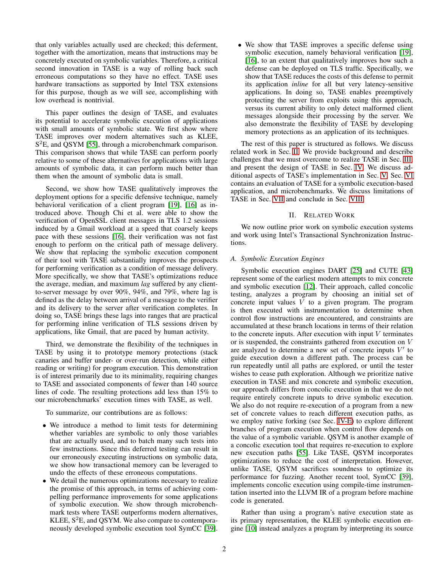that only variables actually used are checked; this deferment, together with the amortization, means that instructions may be concretely executed on symbolic variables. Therefore, a critical second innovation in TASE is a way of rolling back such erroneous computations so they have no effect. TASE uses hardware transactions as supported by Intel TSX extensions for this purpose, though as we will see, accomplishing with low overhead is nontrivial.

This paper outlines the design of TASE, and evaluates its potential to accelerate symbolic execution of applications with small amounts of symbolic state. We first show where TASE improves over modern alternatives such as KLEE, S<sup>2</sup>E, and QSYM [\[55\]](#page-14-11), through a microbenchmark comparison. This comparison shows that while TASE can perform poorly relative to some of these alternatives for applications with large amounts of symbolic data, it can perform much better than them when the amount of symbolic data is small.

Second, we show how TASE qualitatively improves the deployment options for a specific defensive technique, namely behavioral verification of a client program [\[19\]](#page-13-12), [\[16\]](#page-13-13) as introduced above. Though Chi et al. were able to show the verification of OpenSSL client messages in TLS 1.2 sessions induced by a Gmail workload at a speed that coarsely keeps pace with these sessions [\[16\]](#page-13-13), their verification was not fast enough to perform on the critical path of message delivery. We show that replacing the symbolic execution component of their tool with TASE substantially improves the prospects for performing verification as a condition of message delivery. More specifically, we show that TASE's optimizations reduce the average, median, and maximum *lag* suffered by any clientto-server message by over 90%, 94%, and 79%, where lag is defined as the delay between arrival of a message to the verifier and its delivery to the server after verification completes. In doing so, TASE brings these lags into ranges that are practical for performing inline verification of TLS sessions driven by applications, like Gmail, that are paced by human activity.

Third, we demonstrate the flexibility of the techniques in TASE by using it to prototype memory protections (stack canaries and buffer under- or over-run detection, while either reading or writing) for program execution. This demonstration is of interest primarily due to its minimality, requiring changes to TASE and associated components of fewer than 140 source lines of code. The resulting protections add less than 15% to our microbenchmarks' execution times with TASE, as well.

To summarize, our contributions are as follows:

- We introduce a method to limit tests for determining whether variables are symbolic to only those variables that are actually used, and to batch many such tests into few instructions. Since this deferred testing can result in our erroneously executing instructions on symbolic data, we show how transactional memory can be leveraged to undo the effects of these erroneous computations.
- We detail the numerous optimizations necessary to realize the promise of this approach, in terms of achieving compelling performance improvements for some applications of symbolic execution. We show through microbenchmark tests where TASE outperforms modern alternatives, KLEE,  $S^2E$ , and QSYM. We also compare to contemporaneously developed symbolic execution tool SymCC [\[39\]](#page-14-12).

• We show that TASE improves a specific defense using symbolic execution, namely behavioral verification [\[19\]](#page-13-12), [\[16\]](#page-13-13), to an extent that qualitatively improves how such a defense can be deployed on TLS traffic. Specifically, we show that TASE reduces the costs of this defense to permit its application *inline* for all but very latency-sensitive applications. In doing so, TASE enables preemptively protecting the server from exploits using this approach, versus its current ability to only detect malformed client messages alongside their processing by the server. We also demonstrate the flexibility of TASE by developing memory protections as an application of its techniques.

The rest of this paper is structured as follows. We discuss related work in Sec. [II.](#page-1-0) We provide background and describe challenges that we must overcome to realize TASE in Sec. [III,](#page-2-0) and present the design of TASE in Sec. [IV.](#page-3-0) We discuss additional aspects of TASE's implementation in Sec. [V.](#page-7-0) Sec. [VI](#page-7-1) contains an evaluation of TASE for a symbolic execution-based application, and microbenchmarks. We discuss limitations of TASE in Sec. [VII](#page-11-0) and conclude in Sec. [VIII.](#page-12-0)

## II. RELATED WORK

<span id="page-1-0"></span>We now outline prior work on symbolic execution systems and work using Intel's Transactional Synchronization Instructions.

## *A. Symbolic Execution Engines*

Symbolic execution engines DART [\[25\]](#page-13-7) and CUTE [\[43\]](#page-14-6) represent some of the earliest modern attempts to mix concrete and symbolic execution [\[12\]](#page-13-10). Their approach, called concolic testing, analyzes a program by choosing an initial set of concrete input values  $V$  to a given program. The program is then executed with instrumentation to determine when control flow instructions are encountered, and constraints are accumulated at these branch locations in terms of their relation to the concrete inputs. After execution with input  $V$  terminates or is suspended, the constraints gathered from execution on V are analyzed to determine a new set of concrete inputs  $V'$  to guide execution down a different path. The process can be run repeatedly until all paths are explored, or until the tester wishes to cease path exploration. Although we prioritize native execution in TASE and mix concrete and symbolic execution, our approach differs from concolic execution in that we do not require entirely concrete inputs to drive symbolic execution. We also do not require re-execution of a program from a new set of concrete values to reach different execution paths, as we employ native forking (see Sec. [IV-E\)](#page-6-0) to explore different branches of program execution when control flow depends on the value of a symbolic variable. QSYM is another example of a concolic execution tool that requires re-execution to explore new execution paths [\[55\]](#page-14-11). Like TASE, QSYM incorporates optimizations to reduce the cost of interpretation. However, unlike TASE, QSYM sacrifices soundness to optimize its performance for fuzzing. Another recent tool, SymCC [\[39\]](#page-14-12), implements concolic execution using compile-time instrumentation inserted into the LLVM IR of a program before machine code is generated.

Rather than using a program's native execution state as its primary representation, the KLEE symbolic execution engine [\[10\]](#page-13-14) instead analyzes a program by interpreting its source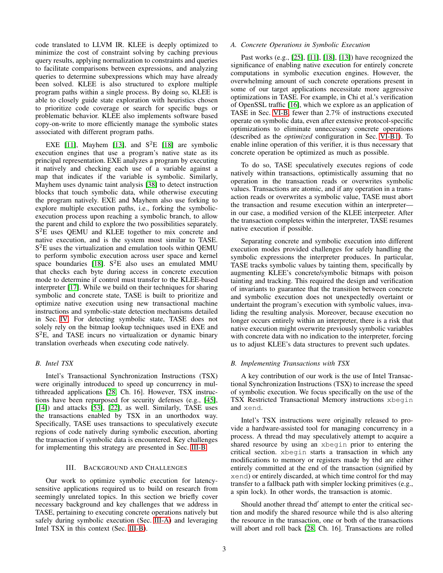code translated to LLVM IR. KLEE is deeply optimized to minimize the cost of constraint solving by caching previous query results, applying normalization to constraints and queries to facilitate comparisons between expressions, and analyzing queries to determine subexpressions which may have already been solved. KLEE is also structured to explore multiple program paths within a single process. By doing so, KLEE is able to closely guide state exploration with heuristics chosen to prioritize code coverage or search for specific bugs or problematic behavior. KLEE also implements software based copy-on-write to more efficiently manage the symbolic states associated with different program paths.

EXE [\[11\]](#page-13-4), Mayhem [\[13\]](#page-13-17), and  $S^2E$  [\[18\]](#page-13-15) are symbolic execution engines that use a program's native state as its principal representation. EXE analyzes a program by executing it natively and checking each use of a variable against a map that indicates if the variable is symbolic. Similarly, Mayhem uses dynamic taint analysis [\[38\]](#page-13-18) to detect instruction blocks that touch symbolic data, while otherwise executing the program natively. EXE and Mayhem also use forking to explore multiple execution paths, i.e., forking the symbolicexecution process upon reaching a symbolic branch, to allow the parent and child to explore the two possibilities separately. S <sup>2</sup>E uses QEMU and KLEE together to mix concrete and native execution, and is the system most similar to TASE. S <sup>2</sup>E uses the virtualization and emulation tools within QEMU to perform symbolic execution across user space and kernel space boundaries [\[18\]](#page-13-15).  $S^2E$  also uses an emulated MMU that checks each byte during access in concrete execution mode to determine if control must transfer to the KLEE-based interpreter [\[17\]](#page-13-19). While we build on their techniques for sharing symbolic and concrete state, TASE is built to prioritize and optimize native execution using new transactional machine instructions and symbolic-state detection mechanisms detailed in Sec. [IV.](#page-3-0) For detecting symbolic state, TASE does not solely rely on the bitmap lookup techniques used in EXE and S <sup>2</sup>E, and TASE incurs no virtualization or dynamic binary translation overheads when executing code natively.

## *B. Intel TSX*

Intel's Transactional Synchronization Instructions (TSX) were originally introduced to speed up concurrency in multithreaded applications [\[28,](#page-13-20) Ch. 16]. However, TSX instructions have been repurposed for security defenses (e.g., [\[45\]](#page-14-13), [\[14\]](#page-13-21)) and attacks [\[53\]](#page-14-14), [\[22\]](#page-13-22), as well. Similarly, TASE uses the transactions enabled by TSX in an unorthodox way. Specifically, TASE uses transactions to speculatively execute regions of code natively during symbolic execution, aborting the transaction if symbolic data is encountered. Key challenges for implementing this strategy are presented in Sec. [III-B.](#page-2-1)

## III. BACKGROUND AND CHALLENGES

<span id="page-2-0"></span>Our work to optimize symbolic execution for latencysensitive applications required us to build on research from seemingly unrelated topics. In this section we briefly cover necessary background and key challenges that we address in TASE, pertaining to executing concrete operations natively but safely during symbolic execution (Sec. [III-A\)](#page-2-2) and leveraging Intel TSX in this context (Sec. [III-B\)](#page-2-1).

### <span id="page-2-2"></span>*A. Concrete Operations in Symbolic Execution*

Past works (e.g., [\[25\]](#page-13-7), [\[11\]](#page-13-4), [\[18\]](#page-13-15), [\[13\]](#page-13-17)) have recognized the significance of enabling native execution for entirely concrete computations in symbolic execution engines. However, the overwhelming amount of such concrete operations present in some of our target applications necessitate more aggressive optimizations in TASE. For example, in Chi et al.'s verification of OpenSSL traffic [\[16\]](#page-13-13), which we explore as an application of TASE in Sec. [VI-B,](#page-9-0) fewer than 2.7% of instructions executed operate on symbolic data, even after extensive protocol-specific optimizations to eliminate unnecessary concrete operations (described as the *optimized* configuration in Sec. [VI-B1\)](#page-9-1). To enable inline operation of this verifier, it is thus necessary that concrete operation be optimized as much as possible.

To do so, TASE speculatively executes regions of code natively within transactions, optimistically assuming that no operation in the transaction reads or overwrites symbolic values. Transactions are atomic, and if any operation in a transaction reads or overwrites a symbolic value, TASE must abort the transaction and resume execution within an interpreter in our case, a modified version of the KLEE interpreter. After the transaction completes within the interpreter, TASE resumes native execution if possible.

Separating concrete and symbolic execution into different execution modes provided challenges for safely handling the symbolic expressions the interpreter produces. In particular, TASE tracks symbolic values by tainting them, specifically by augmenting KLEE's concrete/symbolic bitmaps with poison tainting and tracking. This required the design and verification of invariants to guarantee that the transition between concrete and symbolic execution does not unexpectedly overtaint or undertaint the program's execution with symbolic values, invaliding the resulting analysis. Moreover, because execution no longer occurs entirely within an interpreter, there is a risk that native execution might overwrite previously symbolic variables with concrete data with no indication to the interpreter, forcing us to adjust KLEE's data structures to prevent such updates.

#### <span id="page-2-1"></span>*B. Implementing Transactions with TSX*

A key contribution of our work is the use of Intel Transactional Synchronization Instructions (TSX) to increase the speed of symbolic execution. We focus specifically on the use of the TSX Restricted Transactional Memory instructions xbegin and xend.

Intel's TSX instructions were originally released to provide a hardware-assisted tool for managing concurrency in a process. A thread thd may speculatively attempt to acquire a shared resource by using an xbegin prior to entering the critical section. xbegin starts a transaction in which any modifications to memory or registers made by thd are either entirely committed at the end of the transaction (signified by xend) or entirely discarded, at which time control for thd may transfer to a fallback path with simpler locking primitives (e.g., a spin lock). In other words, the transaction is atomic.

Should another thread thd' attempt to enter the critical section and modify the shared resource while thd is also altering the resource in the transaction, one or both of the transactions will abort and roll back [\[28,](#page-13-20) Ch. 16]. Transactions are rolled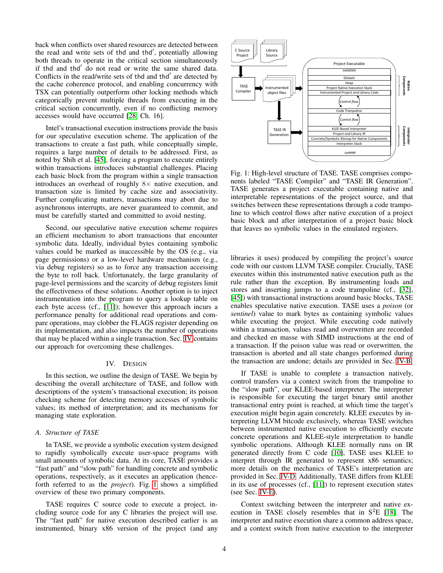back when conflicts over shared resources are detected between the read and write sets of thd and thd', potentially allowing both threads to operate in the critical section simultaneously if thd and thd' do not read or write the same shared data. Conflicts in the read/write sets of thd and thd' are detected by the cache coherence protocol, and enabling concurrency with TSX can potentially outperform other locking methods which categorically prevent multiple threads from executing in the critical section concurrently, even if no conflicting memory accesses would have occurred [\[28,](#page-13-20) Ch. 16].

Intel's transactional execution instructions provide the basis for our speculative execution scheme. The application of the transactions to create a fast path, while conceptually simple, requires a large number of details to be addressed. First, as noted by Shih et al. [\[45\]](#page-14-13), forcing a program to execute entirely within transactions introduces substantial challenges. Placing each basic block from the program within a single transaction introduces an overhead of roughly  $8 \times$  native execution, and transaction size is limited by cache size and associativity. Further complicating matters, transactions may abort due to asynchronous interrupts, are never guaranteed to commit, and must be carefully started and committed to avoid nesting.

Second, our speculative native execution scheme requires an efficient mechanism to abort transactions that encounter symbolic data. Ideally, individual bytes containing symbolic values could be marked as inaccessible by the OS (e.g., via page permissions) or a low-level hardware mechanism (e.g., via debug registers) so as to force any transaction accessing the byte to roll back. Unfortunately, the large granularity of page-level permissions and the scarcity of debug registers limit the effectiveness of these solutions. Another option is to inject instrumentation into the program to query a lookup table on each byte access (cf., [\[11\]](#page-13-4)); however this approach incurs a performance penalty for additional read operations and compare operations, may clobber the FLAGS register depending on its implementation, and also impacts the number of operations that may be placed within a single transaction. Sec. [IV](#page-3-0) contains our approach for overcoming these challenges.

### IV. DESIGN

<span id="page-3-0"></span>In this section, we outline the design of TASE. We begin by describing the overall architecture of TASE, and follow with descriptions of the system's transactional execution; its poison checking scheme for detecting memory accesses of symbolic values; its method of interpretation; and its mechanisms for managing state exploration.

## *A. Structure of TASE*

In TASE, we provide a symbolic execution system designed to rapidly symbolically execute user-space programs with small amounts of symbolic data. At its core, TASE provides a "fast path" and "slow path" for handling concrete and symbolic operations, respectively, as it executes an application (henceforth referred to as the *project*). Fig. [1](#page-3-1) shows a simplified overview of these two primary components.

TASE requires C source code to execute a project, including source code for any C libraries the project will use. The "fast path" for native execution described earlier is an instrumented, binary x86 version of the project (and any

<span id="page-3-1"></span>

Fig. 1: High-level structure of TASE. TASE comprises components labeled "TASE Compiler" and "TASE IR Generation". TASE generates a project executable containing native and interpretable representations of the project source, and that switches between these representations through a code trampoline to which control flows after native execution of a project basic block and after interpretation of a project basic block that leaves no symbolic values in the emulated registers.

libraries it uses) produced by compiling the project's source code with our custom LLVM TASE compiler. Crucially, TASE executes within this instrumented native execution path as the rule rather than the exception. By instrumenting loads and stores and inserting jumps to a code trampoline (cf., [\[32\]](#page-13-23), [\[45\]](#page-14-13)) with transactional instructions around basic blocks, TASE enables speculative native execution. TASE uses a *poison* (or *sentinel*) value to mark bytes as containing symbolic values while executing the project. While executing code natively within a transaction, values read and overwritten are recorded and checked en masse with SIMD instructions at the end of a transaction. If the poison value was read or overwritten, the transaction is aborted and all state changes performed during the transaction are undone; details are provided in Sec. [IV-B.](#page-4-0)

If TASE is unable to complete a transaction natively, control transfers via a context switch from the trampoline to the "slow path", our KLEE-based interpreter. The interpreter is responsible for executing the target binary until another transactional entry point is reached, at which time the target's execution might begin again concretely. KLEE executes by interpreting LLVM bitcode exclusively, whereas TASE switches between instrumented native execution to efficiently execute concrete operations and KLEE-style interpretation to handle symbolic operations. Although KLEE normally runs on IR generated directly from C code [\[10\]](#page-13-14), TASE uses KLEE to interpret through IR generated to represent x86 semantics; more details on the mechanics of TASE's interpretation are provided in Sec. [IV-D.](#page-5-0) Additionally, TASE differs from KLEE in its use of processes (cf., [\[11\]](#page-13-4)) to represent execution states (see Sec. [IV-E\)](#page-6-0).

Context switching between the interpreter and native execution in TASE closely resembles that in  $S<sup>2</sup>E$  [\[18\]](#page-13-15). The interpreter and native execution share a common address space, and a context switch from native execution to the interpreter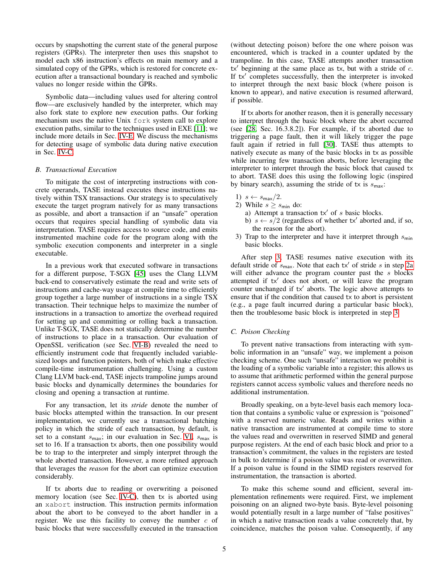occurs by snapshotting the current state of the general purpose registers (GPRs). The interpreter then uses this snapshot to model each x86 instruction's effects on main memory and a simulated copy of the GPRs, which is restored for concrete execution after a transactional boundary is reached and symbolic values no longer reside within the GPRs.

Symbolic data—including values used for altering control flow—are exclusively handled by the interpreter, which may also fork state to explore new execution paths. Our forking mechanism uses the native Unix fork system call to explore execution paths, similar to the techniques used in EXE [\[11\]](#page-13-4); we include more details in Sec. [IV-E.](#page-6-0) We discuss the mechanisms for detecting usage of symbolic data during native execution in Sec. [IV-C.](#page-4-1)

### <span id="page-4-0"></span>*B. Transactional Execution*

To mitigate the cost of interpreting instructions with concrete operands, TASE instead executes these instructions natively within TSX transactions. Our strategy is to speculatively execute the target program natively for as many transactions as possible, and abort a transaction if an "unsafe" operation occurs that requires special handling of symbolic data via interpretation. TASE requires access to source code, and emits instrumented machine code for the program along with the symbolic execution components and interpreter in a single executable.

In a previous work that executed software in transactions for a different purpose, T-SGX [\[45\]](#page-14-13) uses the Clang LLVM back-end to conservatively estimate the read and write sets of instructions and cache-way usage at compile time to efficiently group together a large number of instructions in a single TSX transaction. Their technique helps to maximize the number of instructions in a transaction to amortize the overhead required for setting up and committing or rolling back a transaction. Unlike T-SGX, TASE does not statically determine the number of instructions to place in a transaction. Our evaluation of OpenSSL verification (see Sec. [VI-B\)](#page-9-0) revealed the need to efficiently instrument code that frequently included variablesized loops and function pointers, both of which make effective compile-time instrumentation challenging. Using a custom Clang LLVM back-end, TASE injects trampoline jumps around basic blocks and dynamically determines the boundaries for closing and opening a transaction at runtime.

For any transaction, let its *stride* denote the number of basic blocks attempted within the transaction. In our present implementation, we currently use a transactional batching policy in which the stride of each transaction, by default, is set to a constant  $s_{\text{max}}$ ; in our evaluation in Sec. [VI,](#page-7-1)  $s_{\text{max}}$  is set to 16. If a transaction tx aborts, then one possibility would be to trap to the interpreter and simply interpret through the whole aborted transaction. However, a more refined approach that leverages the *reason* for the abort can optimize execution considerably.

If tx aborts due to reading or overwriting a poisoned memory location (see Sec. [IV-C\)](#page-4-1), then tx is aborted using an xabort instruction. This instruction permits information about the abort to be conveyed to the abort handler in a register. We use this facility to convey the number  $c$  of basic blocks that were successfully executed in the transaction (without detecting poison) before the one where poison was encountered, which is tracked in a counter updated by the trampoline. In this case, TASE attempts another transaction  $tx'$  beginning at the same place as tx, but with a stride of c. If tx' completes successfully, then the interpreter is invoked to interpret through the next basic block (where poison is known to appear), and native execution is resumed afterward, if possible.

If tx aborts for another reason, then it is generally necessary to interpret through the basic block where the abort occurred (see [\[28,](#page-13-20) Sec. 16.3.8.2]). For example, if tx aborted due to triggering a page fault, then it will likely trigger the page fault again if retried in full [\[30\]](#page-13-24). TASE thus attempts to natively execute as many of the basic blocks in tx as possible while incurring few transaction aborts, before leveraging the interpreter to interpret through the basic block that caused tx to abort. TASE does this using the following logic (inspired by binary search), assuming the stride of tx is  $s_{\text{max}}$ :

- 1)  $s \leftarrow s_{\text{max}}/2$ .
- <span id="page-4-3"></span>2) While  $s \geq s_{\min}$  do:
	- a) Attempt a transaction  $tx'$  of s basic blocks.
	- b)  $s \leftarrow s/2$  (regardless of whether tx' aborted and, if so, the reason for the abort).
- <span id="page-4-2"></span>3) Trap to the interpreter and have it interpret through  $s_{\text{min}}$ basic blocks.

After step [3,](#page-4-2) TASE resumes native execution with its default stride of  $s_{\text{max}}$ . Note that each tx' of stride s in step [2a](#page-4-3) will either advance the program counter past the  $s$  blocks attempted if  $tx'$  does not abort, or will leave the program counter unchanged if tx' aborts. The logic above attempts to ensure that if the condition that caused tx to abort is persistent (e.g., a page fault incurred during a particular basic block), then the troublesome basic block is interpreted in step [3.](#page-4-2)

#### <span id="page-4-1"></span>*C. Poison Checking*

To prevent native transactions from interacting with symbolic information in an "unsafe" way, we implement a poison checking scheme. One such "unsafe" interaction we prohibit is the loading of a symbolic variable into a register; this allows us to assume that arithmetic performed within the general purpose registers cannot access symbolic values and therefore needs no additional instrumentation.

Broadly speaking, on a byte-level basis each memory location that contains a symbolic value or expression is "poisoned" with a reserved numeric value. Reads and writes within a native transaction are instrumented at compile time to store the values read and overwritten in reserved SIMD and general purpose registers. At the end of each basic block and prior to a transaction's commitment, the values in the registers are tested in bulk to determine if a poison value was read or overwritten. If a poison value is found in the SIMD registers reserved for instrumentation, the transaction is aborted.

To make this scheme sound and efficient, several implementation refinements were required. First, we implement poisoning on an aligned two-byte basis. Byte-level poisoning would potentially result in a large number of "false positives" in which a native transaction reads a value concretely that, by coincidence, matches the poison value. Consequently, if any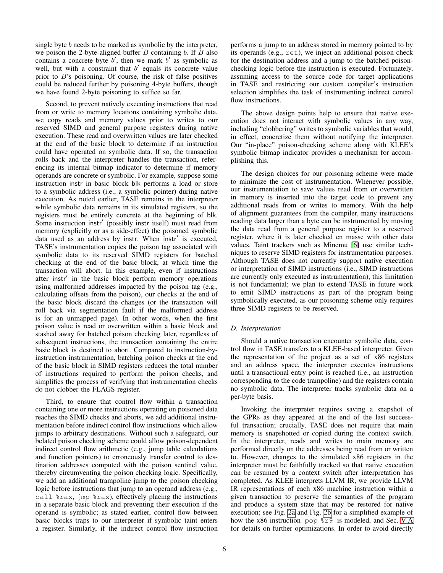single byte b needs to be marked as symbolic by the interpreter, we poison the 2-byte-aligned buffer  $B$  containing  $b$ . If  $B$  also contains a concrete byte  $b'$ , then we mark  $b'$  as symbolic as well, but with a constraint that  $b'$  equals its concrete value prior to B's poisoning. Of course, the risk of false positives could be reduced further by poisoning 4-byte buffers, though we have found 2-byte poisoning to suffice so far.

Second, to prevent natively executing instructions that read from or write to memory locations containing symbolic data, we copy reads and memory values prior to writes to our reserved SIMD and general purpose registers during native execution. These read and overwritten values are later checked at the end of the basic block to determine if an instruction could have operated on symbolic data. If so, the transaction rolls back and the interpreter handles the transaction, referencing its internal bitmap indicator to determine if memory operands are concrete or symbolic. For example, suppose some instruction instr in basic block blk performs a load or store to a symbolic address (i.e., a symbolic pointer) during native execution. As noted earlier, TASE remains in the interpreter while symbolic data remains in its simulated registers, so the registers must be entirely concrete at the beginning of blk. Some instruction instr' (possibly instr itself) must read from memory (explicitly or as a side-effect) the poisoned symbolic data used as an address by instr. When instr' is executed, TASE's instrumentation copies the poison tag associated with symbolic data to its reserved SIMD registers for batched checking at the end of the basic block, at which time the transaction will abort. In this example, even if instructions after instr' in the basic block perform memory operations using malformed addresses impacted by the poison tag (e.g., calculating offsets from the poison), our checks at the end of the basic block discard the changes (or the transaction will roll back via segmentation fault if the malformed address is for an unmapped page). In other words, when the first poison value is read or overwritten within a basic block and stashed away for batched poison checking later, regardless of subsequent instructions, the transaction containing the entire basic block is destined to abort. Compared to instruction-byinstruction instrumentation, batching poison checks at the end of the basic block in SIMD registers reduces the total number of instructions required to perform the poison checks, and simplifies the process of verifying that instrumentation checks do not clobber the FLAGS register.

Third, to ensure that control flow within a transaction containing one or more instructions operating on poisoned data reaches the SIMD checks and aborts, we add additional instrumentation before indirect control flow instructions which allow jumps to arbitrary destinations. Without such a safeguard, our belated poison checking scheme could allow poison-dependent indirect control flow arithmetic (e.g., jump table calculations and function pointers) to erroneously transfer control to destination addresses computed with the poison sentinel value, thereby circumventing the poison checking logic. Specifically, we add an additional trampoline jump to the poison checking logic before instructions that jump to an operand address (e.g., call %rax, jmp %rax), effectively placing the instructions in a separate basic block and preventing their execution if the operand is symbolic; as stated earlier, control flow between basic blocks traps to our interpreter if symbolic taint enters a register. Similarly, if the indirect control flow instruction performs a jump to an address stored in memory pointed to by its operands (e.g., ret), we inject an additional poison check for the destination address and a jump to the batched poisonchecking logic before the instruction is executed. Fortunately, assuming access to the source code for target applications in TASE and restricting our custom compiler's instruction selection simplifies the task of instrumenting indirect control flow instructions.

The above design points help to ensure that native execution does not interact with symbolic values in any way, including "clobbering" writes to symbolic variables that would, in effect, concretize them without notifying the interpreter. Our "in-place" poison-checking scheme along with KLEE's symbolic bitmap indicator provides a mechanism for accomplishing this.

The design choices for our poisoning scheme were made to minimize the cost of instrumentation. Whenever possible, our instrumentation to save values read from or overwritten in memory is inserted into the target code to prevent any additional reads from or writes to memory. With the help of alignment guarantees from the compiler, many instructions reading data larger than a byte can be instrumented by moving the data read from a general purpose register to a reserved register, where it is later checked en masse with other data values. Taint trackers such as Minemu [\[6\]](#page-13-25) use similar techniques to reserve SIMD registers for instrumentation purposes. Although TASE does not currently support native execution or interpretation of SIMD instructions (i.e., SIMD instructions are currently only executed as instrumentation), this limitation is not fundamental; we plan to extend TASE in future work to emit SIMD instructions as part of the program being symbolically executed, as our poisoning scheme only requires three SIMD registers to be reserved.

# <span id="page-5-0"></span>*D. Interpretation*

Should a native transaction encounter symbolic data, control flow in TASE transfers to a KLEE-based interpreter. Given the representation of the project as a set of x86 registers and an address space, the interpreter executes instructions until a transactional entry point is reached (i.e., an instruction corresponding to the code trampoline) and the registers contain no symbolic data. The interpreter tracks symbolic data on a per-byte basis.

Invoking the interpreter requires saving a snapshot of the GPRs as they appeared at the end of the last successful transaction; crucially, TASE does not require that main memory is snapshotted or copied during the context switch. In the interpreter, reads and writes to main memory are performed directly on the addresses being read from or written to. However, changes to the simulated x86 registers in the interpreter must be faithfully tracked so that native execution can be resumed by a context switch after interpretation has completed. As KLEE interprets LLVM IR, we provide LLVM IR representations of each x86 machine instruction within a given transaction to preserve the semantics of the program and produce a system state that may be restored for native execution; see Fig. [2a](#page-6-1) and Fig. [2b](#page-6-1) for a simplified example of how the x86 instruction pop %r9 is modeled, and Sec. [V-A](#page-7-2) for details on further optimizations. In order to avoid directly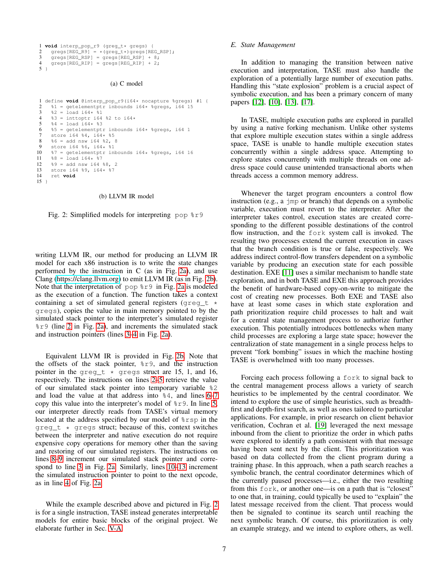```
1 void interp_pop_r9 (greg_t* gregs) {
2 gregs[REG_R9] = *(\text{greg}_t*)gregs[REG_RSP];<br>3 gregs[REG_RSP] = gregs[REG_RSP] + 8;
3 gregs [REG\_RSP] = gregs [REG\_RSP] + 8;<br>4 gregs [REG\_RIP] = gregs [REG\_RIP] + 2;qregs[REG_RIP] = qregs[REG_RIP] + 2;
5 }
```
#### (a) C model

```
1 define void @interp_pop_r9(i64* nocapture %gregs) #1 {<br>2 \frac{1}{2} = getelementntr inbounds i64* %gregs i64.15
 2 \text{\$1 = getelementptr} inbounds i64* \text{\$gregs, i64} 15<br>3 \text{\$2 = load i64* \$1}3 \quad \frac{2}{3} = \text{load } i64 \times 21<br>4 \frac{2}{3} = \text{int} \cdot \text{opt} \cdot i644 % 3 = \text{inttoptr} i64 % 2 to i64*<br>5 % 4 = \text{load} i64 * % 3%4 = load i64* %3
         $5 = getelementptr inbounds i64* %gregs, i64 1
 7 store i64 %4, 164 * 85<br>8 %6 = add nsw i64 %2, 8
 8 \$6 = add nsw i64 \$2, 8<br>9 store i64 \$6, i64* \$19 store i64 %6, i64 * %1<br>10 %7 = qetelementptr in
10 \frac{1}{2} 7 = getelementptr inbounds i64* %gregs, i64 16<br>11 %8 = load i64* %7
11 \frac{1}{88} = \text{load } i64 \times 27<br>12 \frac{1}{89} = \text{add} \text{nsw } i6412 89 = add nsw i64 88,<br>13 store i64 89, i64* 813 store i64 %9, i64* %7<br>14 ret void
         14 ret void
15 }
```
#### (b) LLVM IR model

<span id="page-6-12"></span>Fig. 2: Simplified models for interpreting pop %r9

writing LLVM IR, our method for producing an LLVM IR model for each x86 instruction is to write the state changes performed by the instruction in C (as in Fig. [2a\)](#page-6-1), and use Clang [\(https://clang.llvm.org\)](https://clang.llvm.org) to emit LLVM IR (as in Fig. [2b\)](#page-6-1). Note that the interpretation of pop %r9 in Fig. [2a](#page-6-1) is modeled as the execution of a function. The function takes a context containing a set of simulated general registers (greg\_t  $\star$ gregs), copies the value in main memory pointed to by the simulated stack pointer to the interpreter's simulated register %r9 (line [2](#page-6-2) in Fig. [2a\)](#page-6-1), and increments the simulated stack and instruction pointers (lines [3](#page-6-3)[–4](#page-6-4) in Fig. [2a\)](#page-6-1).

Equivalent LLVM IR is provided in Fig. [2b.](#page-6-1) Note that the offsets of the stack pointer,  $\epsilon \gtrsim 9$ , and the instruction pointer in the greg\_t  $*$  gregs struct are 15, 1, and 16, respectively. The instructions on lines [2–](#page-6-5)[5](#page-6-6) retrieve the value of our simulated stack pointer into temporary variable %2 and load the value at that address into  $\frac{1}{6}$  and lines [6](#page-6-7)[–7](#page-6-8) copy this value into the interpreter's model of %r9. In line [5,](#page-6-6) our interpreter directly reads from TASE's virtual memory located at the address specified by our model of %rsp in the greg  $t * q$  gregs struct; because of this, context switches between the interpreter and native execution do not require expensive copy operations for memory other than the saving and restoring of our simulated registers. The instructions on lines [8](#page-6-9)[–9](#page-6-10) increment our simulated stack pointer and correspond to line [3](#page-6-3) in Fig. [2a.](#page-6-1) Similarly, lines [10–](#page-6-11)[13](#page-6-12) increment the simulated instruction pointer to point to the next opcode, as in line [4](#page-6-4) of Fig. [2a.](#page-6-1)

While the example described above and pictured in Fig. [2](#page-6-1) is for a single instruction, TASE instead generates interpretable models for entire basic blocks of the original project. We elaborate further in Sec. [V-A.](#page-7-2)

### <span id="page-6-0"></span>*E. State Management*

In addition to managing the transition between native execution and interpretation, TASE must also handle the exploration of a potentially large number of execution paths. Handling this "state explosion" problem is a crucial aspect of symbolic execution, and has been a primary concern of many papers [\[12\]](#page-13-10), [\[10\]](#page-13-14), [\[13\]](#page-13-17), [\[17\]](#page-13-19).

In TASE, multiple execution paths are explored in parallel by using a native forking mechanism. Unlike other systems that explore multiple execution states within a single address space, TASE is unable to handle multiple execution states concurrently within a single address space. Attempting to explore states concurrently with multiple threads on one address space could cause unintended transactional aborts when threads access a common memory address.

Whenever the target program encounters a control flow instruction (e.g., a jmp or branch) that depends on a symbolic variable, execution must revert to the interpreter. After the interpreter takes control, execution states are created corresponding to the different possible destinations of the control flow instruction, and the fork system call is invoked. The resulting two processes extend the current execution in cases that the branch condition is true or false, respectively. We address indirect control-flow transfers dependent on a symbolic variable by producing an execution state for each possible destination. EXE [\[11\]](#page-13-4) uses a similar mechanism to handle state exploration, and in both TASE and EXE this approach provides the benefit of hardware-based copy-on-write to mitigate the cost of creating new processes. Both EXE and TASE also have at least some cases in which state exploration and path prioritization require child processes to halt and wait for a central state management process to authorize further execution. This potentially introduces bottlenecks when many child processes are exploring a large state space; however the centralization of state management in a single process helps to prevent "fork bombing" issues in which the machine hosting TASE is overwhelmed with too many processes.

Forcing each process following a fork to signal back to the central management process allows a variety of search heuristics to be implemented by the central coordinator. We intend to explore the use of simple heuristics, such as breadthfirst and depth-first search, as well as ones tailored to particular applications. For example, in prior research on client behavior verification, Cochran et al. [\[19\]](#page-13-12) leveraged the next message inbound from the client to prioritize the order in which paths were explored to identify a path consistent with that message having been sent next by the client. This prioritization was based on data collected from the client program during a training phase. In this approach, when a path search reaches a symbolic branch, the central coordinator determines which of the currently paused processes—i.e., either the two resulting from this fork, or another one—is on a path that is "closest" to one that, in training, could typically be used to "explain" the latest message received from the client. That process would then be signaled to continue its search until reaching the next symbolic branch. Of course, this prioritization is only an example strategy, and we intend to explore others, as well.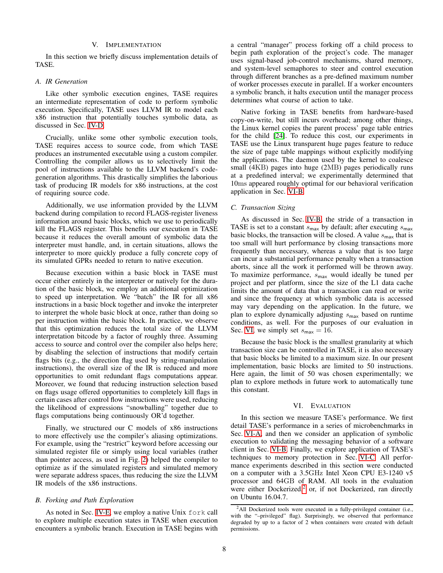### V. IMPLEMENTATION

<span id="page-7-0"></span>In this section we briefly discuss implementation details of TASE.

#### <span id="page-7-2"></span>*A. IR Generation*

Like other symbolic execution engines, TASE requires an intermediate representation of code to perform symbolic execution. Specifically, TASE uses LLVM IR to model each x86 instruction that potentially touches symbolic data, as discussed in Sec. [IV-D.](#page-5-0)

Crucially, unlike some other symbolic execution tools, TASE requires access to source code, from which TASE produces an instrumented executable using a custom compiler. Controlling the compiler allows us to selectively limit the pool of instructions available to the LLVM backend's codegeneration algorithms. This drastically simplifies the laborious task of producing IR models for x86 instructions, at the cost of requiring source code.

Additionally, we use information provided by the LLVM backend during compilation to record FLAGS-register liveness information around basic blocks, which we use to periodically kill the FLAGS register. This benefits our execution in TASE because it reduces the overall amount of symbolic data the interpreter must handle, and, in certain situations, allows the interpreter to more quickly produce a fully concrete copy of its simulated GPRs needed to return to native execution.

Because execution within a basic block in TASE must occur either entirely in the interpreter or natively for the duration of the basic block, we employ an additional optimization to speed up interpretation. We "batch" the IR for all x86 instructions in a basic block together and invoke the interpreter to interpret the whole basic block at once, rather than doing so per instruction within the basic block. In practice, we observe that this optimization reduces the total size of the LLVM interpretation bitcode by a factor of roughly three. Assuming access to source and control over the compiler also helps here; by disabling the selection of instructions that modify certain flags bits (e.g., the direction flag used by string-manipulation instructions), the overall size of the IR is reduced and more opportunities to omit redundant flags computations appear. Moreover, we found that reducing instruction selection based on flags usage offered opportunities to completely kill flags in certain cases after control flow instructions were used, reducing the likelihood of expressions "snowballing" together due to flags computations being continuously OR'd together.

Finally, we structured our C models of x86 instructions to more effectively use the compiler's aliasing optimizations. For example, using the "restrict" keyword before accessing our simulated register file or simply using local variables (rather than pointer access, as used in Fig. [2\)](#page-6-1) helped the compiler to optimize as if the simulated registers and simulated memory were separate address spaces, thus reducing the size the LLVM IR models of the x86 instructions.

## *B. Forking and Path Exploration*

As noted in Sec. [IV-E,](#page-6-0) we employ a native Unix fork call to explore multiple execution states in TASE when execution encounters a symbolic branch. Execution in TASE begins with a central "manager" process forking off a child process to begin path exploration of the project's code. The manager uses signal-based job-control mechanisms, shared memory, and system-level semaphores to steer and control execution through different branches as a pre-defined maximum number of worker processes execute in parallel. If a worker encounters a symbolic branch, it halts execution until the manager process determines what course of action to take.

Native forking in TASE benefits from hardware-based copy-on-write, but still incurs overhead; among other things, the Linux kernel copies the parent process' page table entries for the child [\[24\]](#page-13-26). To reduce this cost, our experiments in TASE use the Linux transparent huge pages feature to reduce the size of page table mappings without explicitly modifying the applications. The daemon used by the kernel to coalesce small (4KB) pages into huge (2MB) pages periodically runs at a predefined interval; we experimentally determined that 10ms appeared roughly optimal for our behavioral verification application in Sec. [VI-B.](#page-9-0)

#### *C. Transaction Sizing*

As discussed in Sec. [IV-B,](#page-4-0) the stride of a transaction in TASE is set to a constant  $s_{\text{max}}$  by default; after executing  $s_{\text{max}}$ basic blocks, the transaction will be closed. A value  $s_{\text{max}}$  that is too small will hurt performance by closing transactions more frequently than necessary, whereas a value that is too large can incur a substantial performance penalty when a transaction aborts, since all the work it performed will be thrown away. To maximize performance,  $s_{\text{max}}$  would ideally be tuned per project and per platform, since the size of the L1 data cache limits the amount of data that a transaction can read or write and since the frequency at which symbolic data is accessed may vary depending on the application. In the future, we plan to explore dynamically adjusting  $s_{\text{max}}$  based on runtime conditions, as well. For the purposes of our evaluation in Sec. [VI,](#page-7-1) we simply set  $s_{\text{max}} = 16$ .

Because the basic block is the smallest granularity at which transaction size can be controlled in TASE, it is also necessary that basic blocks be limited to a maximum size. In our present implementation, basic blocks are limited to 50 instructions. Here again, the limit of 50 was chosen experimentally; we plan to explore methods in future work to automatically tune this constant.

## VI. EVALUATION

<span id="page-7-1"></span>In this section we measure TASE's performance. We first detail TASE's performance in a series of microbenchmarks in Sec. [VI-A,](#page-8-0) and then we consider an application of symbolic execution to validating the messaging behavior of a software client in Sec. [VI-B.](#page-9-0) Finally, we explore application of TASE's techniques to memory protection in Sec. [VI-C.](#page-11-1) All performance experiments described in this section were conducted on a computer with a 3.5GHz Intel Xeon CPU E3-1240 v5 processor and 64GB of RAM. All tools in the evaluation were either Dockerized,<sup>[2](#page-7-3)</sup> or, if not Dockerized, ran directly on Ubuntu 16.04.7.

<span id="page-7-3"></span><sup>&</sup>lt;sup>2</sup>All Dockerized tools were executed in a fully-privileged container (i.e., with the "–privileged" flag). Surprisingly, we observed that performance degraded by up to a factor of 2 when containers were created with default permissions.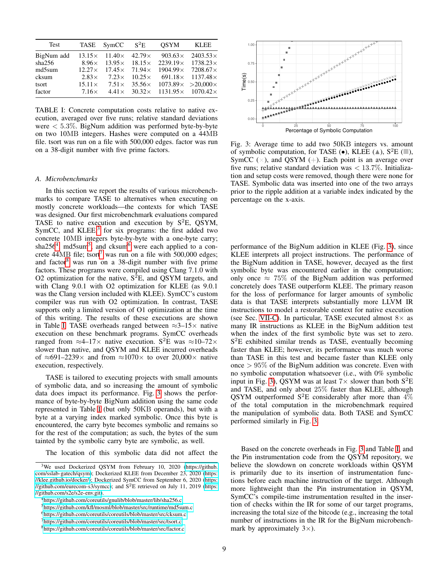<span id="page-8-7"></span>

| <b>Test</b> |               | TASE SymCC $S^2E$ |                             | <b>OSYM</b>                                                   | KLEE                            |
|-------------|---------------|-------------------|-----------------------------|---------------------------------------------------------------|---------------------------------|
| BigNum add  |               |                   |                             | $13.15 \times 11.40 \times 42.79 \times 903.63 \times$        | $2403.53\times$                 |
| sha256      | $8.96\times$  |                   |                             | $13.95\times$ $18.15\times$ 2239.19 $\times$ 1738.23 $\times$ |                                 |
| md5sum      | $12.27\times$ |                   | $17.45 \times 71.94 \times$ |                                                               | $1904.99 \times 7208.67 \times$ |
| cksum       | $2.83\times$  | $7.23\times$      |                             | $10.25 \times 691.18 \times 1137.48 \times$                   |                                 |
| tsort       | $15.11\times$ | $7.51\times$      |                             | $35.56 \times 1073.89 \times >20,000 \times$                  |                                 |
| factor      | $7.16\times$  | $4.41\times$      | $30.32\times$               |                                                               | $1131.95 \times 1070.42 \times$ |

TABLE I: Concrete computation costs relative to native execution, averaged over five runs; relative standard deviations were  $\langle 5.3\%$ . BigNum addition was performed byte-by-byte on two 10MB integers. Hashes were computed on a 44MB file. tsort was run on a file with 500,000 edges. factor was run on a 38-digit number with five prime factors.

#### <span id="page-8-0"></span>*A. Microbenchmarks*

In this section we report the results of various microbenchmarks to compare TASE to alternatives when executing on mostly concrete workloads—the contexts for which TASE was designed. Our first microbenchmark evaluations compared TASE to native execution and execution by  $S^2E$ , QSYM, SymCC, and KLEE, $3$  for six programs: the first added two concrete 10MB integers byte-by-byte with a one-byte carry; sha256<sup>[4](#page-8-2)</sup>, md[5](#page-8-3)sum<sup>5</sup>, and cksum<sup>[6](#page-8-4)</sup> were each applied to a con-crete 44MB file; tsort<sup>[7](#page-8-5)</sup> was run on a file with 500,000 edges; and factor $8$  was run on a 38-digit number with five prime factors. These programs were compiled using Clang 7.1.0 with O2 optimization for the native,  $S^2E$ , and QSYM targets, and with Clang 9.0.1 with O2 optimization for KLEE (as 9.0.1 was the Clang version included with KLEE). SymCC's custom compiler was run with O2 optimization. In contrast, TASE supports only a limited version of O1 optimization at the time of this writing. The results of these executions are shown in Table [I.](#page-8-7) TASE overheads ranged between  $\approx$ 3–15 $\times$  native execution on these benchmark programs. SymCC overheads ranged from  $\approx$ 4–17× native execution. S<sup>2</sup>E was  $\approx$ 10–72× slower than native, and QSYM and KLEE incurred overheads of ≈691–2239 $\times$  and from ≈1070 $\times$  to over 20,000 $\times$  native execution, respectively.

TASE is tailored to executing projects with small amounts of symbolic data, and so increasing the amount of symbolic data does impact its performance. Fig. [3](#page-8-8) shows the performance of byte-by-byte BigNum addition using the same code represented in Table [I](#page-8-7) (but only 50KB operands), but with a byte at a varying index marked symbolic. Once this byte is encountered, the carry byte becomes symbolic and remains so for the rest of the computation; as such, the bytes of the sum tainted by the symbolic carry byte are symbolic, as well.

The location of this symbolic data did not affect the

<span id="page-8-8"></span>

Fig. 3: Average time to add two 50KB integers vs. amount of symbolic computation, for TASE ( $\bullet$ ), KLEE ( $\triangle$ ), S<sup>2</sup>E ( $\Box$ ), SymCC  $(\times)$ , and QSYM  $(+)$ . Each point is an average over five runs; relative standard deviation was  $< 13.7\%$ . Initialization and setup costs were removed, though there were none for TASE. Symbolic data was inserted into one of the two arrays prior to the ripple addition at a variable index indicated by the percentage on the x-axis.

performance of the BigNum addition in KLEE (Fig. [3\)](#page-8-8), since KLEE interprets all project instructions. The performance of the BigNum addition in TASE, however, decayed as the first symbolic byte was encountered earlier in the computation; only once  $\approx 75\%$  of the BigNum addition was performed concretely does TASE outperform KLEE. The primary reason for the loss of performance for larger amounts of symbolic data is that TASE interprets substantially more LLVM IR instructions to model a restorable context for native execution (see Sec. [VII-C\)](#page-12-1). In particular, TASE executed almost  $8 \times$  as many IR instructions as KLEE in the BigNum addition test when the index of the first symbolic byte was set to zero. S <sup>2</sup>E exhibited similar trends as TASE, eventually becoming faster than KLEE; however, its performance was much worse than TASE in this test and became faster than KLEE only once  $> 95\%$  of the BigNum addition was concrete. Even with no symbolic computation whatsoever (i.e., with 0% symbolic input in Fig. [3\)](#page-8-8), QSYM was at least  $7\times$  slower than both  $S^2E$ and TASE, and only about 25% faster than KLEE, although QSYM outperformed  $S^2E$  considerably after more than  $4\%$ of the total computation in the microbenchmark required the manipulation of symbolic data. Both TASE and SymCC performed similarly in Fig. [3.](#page-8-8)

Based on the concrete overheads in Fig. [3](#page-8-8) and Table [I,](#page-8-7) and the Pin instrumentation code from the QSYM repository, we believe the slowdown on concrete workloads within QSYM is primarily due to its insertion of instrumentation functions before each machine instruction of the target. Although more lightweight than the Pin instrumentation in QSYM, SymCC's compile-time instrumentation resulted in the insertion of checks within the IR for some of our target programs, increasing the total size of the bitcode (e.g., increasing the total number of instructions in the IR for the BigNum microbenchmark by approximately  $3\times$ ).

<span id="page-8-1"></span><sup>&</sup>lt;sup>3</sup>We used Dockerized QSYM from February 10, 2020 [\(https://github.](https://github.com/sslab-gatech/qsym) [com/sslab-gatech/qsym\)](https://github.com/sslab-gatech/qsym); Dockerized KLEE from December 23, 2020 [\(https:](https://klee.github.io/docker/) [//klee.github.io/docker/\)](https://klee.github.io/docker/); Dockerized SymCC from September 6, 2020 [\(https:](https://github.com/eurecom-s3/symcc) [//github.com/eurecom-s3/symcc\)](https://github.com/eurecom-s3/symcc); and  $S^2E$  retrieved on July 11, 2019 [\(https:](https://github.com/s2e/s2e-env.git) [//github.com/s2e/s2e-env.git\)](https://github.com/s2e/s2e-env.git).

<span id="page-8-2"></span><sup>4</sup><https://github.com/coreutils/gnulib/blob/master/lib/sha256.c>

<span id="page-8-3"></span><sup>5</sup><https://github.com/kfl/mosml/blob/master/src/runtime/md5sum.c>

<span id="page-8-4"></span><sup>6</sup><https://github.com/coreutils/coreutils/blob/master/src/cksum.c>

<span id="page-8-5"></span><sup>7</sup><https://github.com/coreutils/coreutils/blob/master/src/tsort.c>

<span id="page-8-6"></span><sup>8</sup><https://github.com/coreutils/coreutils/blob/master/src/factor.c>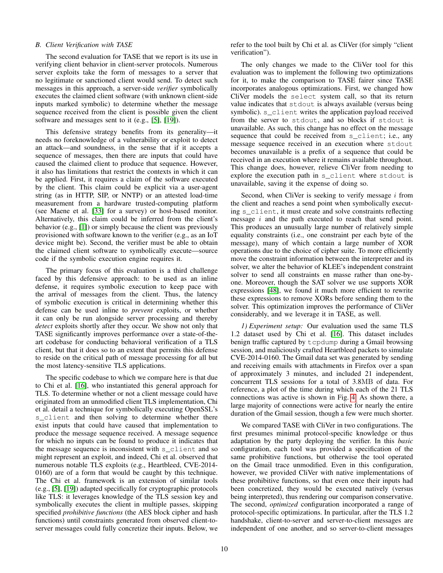## <span id="page-9-0"></span>*B. Client Verification with TASE*

The second evaluation for TASE that we report is its use in verifying client behavior in client-server protocols. Numerous server exploits take the form of messages to a server that no legitimate or sanctioned client would send. To detect such messages in this approach, a server-side *verifier* symbolically executes the claimed client software (with unknown client-side inputs marked symbolic) to determine whether the message sequence received from the client is possible given the client software and messages sent to it (e.g., [\[5\]](#page-13-27), [\[19\]](#page-13-12)).

This defensive strategy benefits from its generality—it needs no foreknowledge of a vulnerability or exploit to detect an attack—and soundness, in the sense that if it accepts a sequence of messages, then there are inputs that could have caused the claimed client to produce that sequence. However, it also has limitations that restrict the contexts in which it can be applied. First, it requires a claim of the software executed by the client. This claim could be explicit via a user-agent string (as in HTTP, SIP, or NNTP) or an attested load-time measurement from a hardware trusted-computing platform (see Maene et al. [\[33\]](#page-13-28) for a survey) or host-based monitor. Alternatively, this claim could be inferred from the client's behavior (e.g., [\[1\]](#page-13-29)) or simply because the client was previously provisioned with software known to the verifier (e.g., as an IoT device might be). Second, the verifier must be able to obtain the claimed client software to symbolically execute—source code if the symbolic execution engine requires it.

The primary focus of this evaluation is a third challenge faced by this defensive approach: to be used as an inline defense, it requires symbolic execution to keep pace with the arrival of messages from the client. Thus, the latency of symbolic execution is critical in determining whether this defense can be used inline to *prevent* exploits, or whether it can only be run alongside server processing and thereby *detect* exploits shortly after they occur. We show not only that TASE significantly improves performance over a state-of-theart codebase for conducting behavioral verification of a TLS client, but that it does so to an extent that permits this defense to reside on the critical path of message processing for all but the most latency-sensitive TLS applications.

The specific codebase to which we compare here is that due to Chi et al. [\[16\]](#page-13-13), who instantiated this general approach for TLS. To determine whether or not a client message could have originated from an unmodified client TLS implementation, Chi et al. detail a technique for symbolically executing OpenSSL's s\_client and then solving to determine whether there exist inputs that could have caused that implementation to produce the message sequence received. A message sequence for which no inputs can be found to produce it indicates that the message sequence is inconsistent with s\_client and so might represent an exploit, and indeed, Chi et al. observed that numerous notable TLS exploits (e.g., Heartbleed, CVE-2014- 0160) are of a form that would be caught by this technique. The Chi et al. framework is an extension of similar tools (e.g., [\[5\]](#page-13-27), [\[19\]](#page-13-12)) adapted specifically for cryptographic protocols like TLS: it leverages knowledge of the TLS session key and symbolically executes the client in multiple passes, skipping specified *prohibitive functions* (the AES block cipher and hash functions) until constraints generated from observed client-toserver messages could fully concretize their inputs. Below, we refer to the tool built by Chi et al. as CliVer (for simply "client verification").

The only changes we made to the CliVer tool for this evaluation was to implement the following two optimizations for it, to make the comparison to TASE fairer since TASE incorporates analogous optimizations. First, we changed how CliVer models the select system call, so that its return value indicates that stdout is always available (versus being symbolic). s\_client writes the application payload received from the server to stdout, and so blocks if stdout is unavailable. As such, this change has no effect on the message sequence that could be received from s\_client; i.e., any message sequence received in an execution where stdout becomes unavailable is a prefix of a sequence that could be received in an execution where it remains available throughout. This change does, however, relieve CliVer from needing to explore the execution path in s\_client where stdout is unavailable, saving it the expense of doing so.

Second, when CliVer is seeking to verify message  $i$  from the client and reaches a send point when symbolically executing s\_client, it must create and solve constraints reflecting message i and the path executed to reach that send point. This produces an unusually large number of relatively simple equality constraints (i.e., one constraint per each byte of the message), many of which contain a large number of XOR operations due to the choice of cipher suite. To more efficiently move the constraint information between the interpreter and its solver, we alter the behavior of KLEE's independent constraint solver to send all constraints en masse rather than one-byone. Moreover, though the SAT solver we use supports XOR expressions [\[48\]](#page-14-15), we found it much more efficient to rewrite these expressions to remove XORs before sending them to the solver. This optimization improves the performance of CliVer considerably, and we leverage it in TASE, as well.

<span id="page-9-1"></span>*1) Experiment setup:* Our evaluation used the same TLS 1.2 dataset used by Chi et al. [\[16\]](#page-13-13). This dataset includes benign traffic captured by tcpdump during a Gmail browsing session, and maliciously crafted Heartbleed packets to simulate CVE-2014-0160. The Gmail data set was generated by sending and receiving emails with attachments in Firefox over a span of approximately 3 minutes, and included 21 independent, concurrent TLS sessions for a total of 3.8MB of data. For reference, a plot of the time during which each of the 21 TLS connections was active is shown in Fig. [4.](#page-10-0) As shown there, a large majority of connections were active for nearly the entire duration of the Gmail session, though a few were much shorter.

We compared TASE with CliVer in two configurations. The first presumes minimal protocol-specific knowledge or thus adaptation by the party deploying the verifier. In this *basic* configuration, each tool was provided a specification of the same prohibitive functions, but otherwise the tool operated on the Gmail trace unmodified. Even in this configuration, however, we provided CliVer with native implementations of these prohibitive functions, so that even once their inputs had been concretized, they would be executed natively (versus being interpreted), thus rendering our comparison conservative. The second, *optimized* configuration incorporated a range of protocol-specific optimizations. In particular, after the TLS 1.2 handshake, client-to-server and server-to-client messages are independent of one another, and so server-to-client messages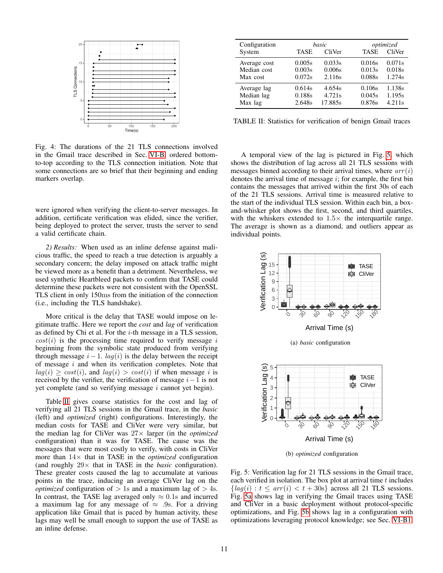<span id="page-10-0"></span>

Fig. 4: The durations of the 21 TLS connections involved in the Gmail trace described in Sec. [VI-B,](#page-9-0) ordered bottomto-top according to the TLS connection initiation. Note that some connections are so brief that their beginning and ending markers overlap.

were ignored when verifying the client-to-server messages. In addition, certificate verification was elided, since the verifier, being deployed to protect the server, trusts the server to send a valid certificate chain.

*2) Results:* When used as an inline defense against malicious traffic, the speed to reach a true detection is arguably a secondary concern; the delay imposed on attack traffic might be viewed more as a benefit than a detriment. Nevertheless, we used synthetic Heartbleed packets to confirm that TASE could determine these packets were not consistent with the OpenSSL TLS client in only 150ms from the initiation of the connection (i.e., including the TLS handshake).

More critical is the delay that TASE would impose on legitimate traffic. Here we report the *cost* and *lag* of verification as defined by Chi et al. For the i-th message in a TLS session,  $cost(i)$  is the processing time required to verify message i beginning from the symbolic state produced from verifying through message  $i - 1$ .  $lag(i)$  is the delay between the receipt of message  $i$  and when its verification completes. Note that  $la(q(i) > cost(i)$ , and  $la(q(i) > cost(i)$  if when message i is received by the verifier, the verification of message  $i-1$  is not yet complete (and so verifying message  $i$  cannot yet begin).

Table [II](#page-10-1) gives coarse statistics for the cost and lag of verifying all 21 TLS sessions in the Gmail trace, in the *basic* (left) and *optimized* (right) configurations. Interestingly, the median costs for TASE and CliVer were very similar, but the median lag for CliVer was 27× larger (in the *optimized* configuration) than it was for TASE. The cause was the messages that were most costly to verify, with costs in CliVer more than 14× that in TASE in the *optimized* configuration (and roughly 29× that in TASE in the *basic* configuration). These greater costs caused the lag to accumulate at various points in the trace, inducing an average CliVer lag on the *optimized* configuration of  $> 1$ s and a maximum lag of  $> 4$ s. In contrast, the TASE lag averaged only  $\approx 0.1$ s and incurred a maximum lag for any message of  $\approx$  .9s. For a driving application like Gmail that is paced by human activity, these lags may well be small enough to support the use of TASE as an inline defense.

<span id="page-10-1"></span>

| Configuration |        | basic   |             | optimized |  |
|---------------|--------|---------|-------------|-----------|--|
| System        | TASE   | CliVer  | <b>TASE</b> | CliVer    |  |
| Average cost  | 0.005s | 0.033s  | 0.016s      | 0.071s    |  |
| Median cost   | 0.003s | 0.006s  | 0.013s      | 0.018s    |  |
| Max cost      | 0.072s | 2.116s  | 0.088s      | 1.274s    |  |
| Average lag   | 0.614s | 4.654s  | 0.106s      | 1.138s    |  |
| Median lag    | 0.188s | 4.721s  | 0.045s      | 1.195s    |  |
| Max lag       | 2.648s | 17.885s | 0.876s      | 4.211s    |  |

TABLE II: Statistics for verification of benign Gmail traces

A temporal view of the lag is pictured in Fig. [5,](#page-10-2) which shows the distribution of lag across all 21 TLS sessions with messages binned according to their arrival times, where  $arr(i)$ denotes the arrival time of message  $i$ ; for example, the first bin contains the messages that arrived within the first 30s of each of the 21 TLS sessions. Arrival time is measured relative to the start of the individual TLS session. Within each bin, a boxand-whisker plot shows the first, second, and third quartiles, with the whiskers extended to  $1.5\times$  the interquartile range. The average is shown as a diamond, and outliers appear as individual points.

<span id="page-10-2"></span>

(b) *optimized* configuration

Fig. 5: Verification lag for 21 TLS sessions in the Gmail trace, each verified in isolation. The box plot at arrival time  $t$  includes  ${lag}(i): t \leq arr(i) < t + 30s$  across all 21 TLS sessions. Fig. [5a](#page-10-2) shows lag in verifying the Gmail traces using TASE and CliVer in a basic deployment without protocol-specific optimizations, and Fig. [5b](#page-10-2) shows lag in a configuration with optimizations leveraging protocol knowledge; see Sec. [VI-B1.](#page-9-1)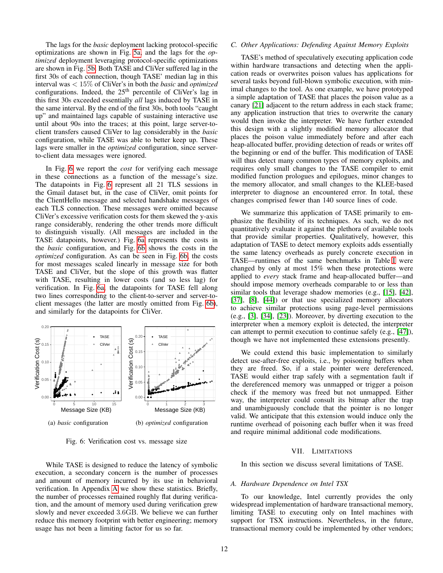The lags for the *basic* deployment lacking protocol-specific optimizations are shown in Fig. [5a,](#page-10-2) and the lags for the *optimized* deployment leveraging protocol-specific optimizations are shown in Fig. [5b.](#page-10-2) Both TASE and CliVer suffered lag in the first 30s of each connection, though TASE' median lag in this interval was < 15% of CliVer's in both the *basic* and *optimized* configurations. Indeed, the 25<sup>th</sup> percentile of CliVer's lag in this first 30s exceeded essentially *all* lags induced by TASE in the same interval. By the end of the first 30s, both tools "caught up" and maintained lags capable of sustaining interactive use until about 90s into the traces; at this point, large server-toclient transfers caused CliVer to lag considerably in the *basic* configuration, while TASE was able to better keep up. These lags were smaller in the *optimized* configuration, since serverto-client data messages were ignored.

In Fig. [6](#page-11-2) we report the *cost* for verifying each message in these connections as a function of the message's size. The datapoints in Fig. [6](#page-11-2) represent all 21 TLS sessions in the Gmail dataset but, in the case of CliVer, omit points for the ClientHello message and selected handshake messages of each TLS connection. These messages were omitted because CliVer's excessive verification costs for them skewed the y-axis range considerably, rendering the other trends more difficult to distinguish visually. (All messages are included in the TASE datapoints, however.) Fig. [6a](#page-11-2) represents the costs in the *basic* configuration, and Fig. [6b](#page-11-2) shows the costs in the *optimized* configuration. As can be seen in Fig. [6b,](#page-11-2) the costs for most messages scaled linearly in message size for both TASE and CliVer, but the slope of this growth was flatter with TASE, resulting in lower costs (and so less lag) for verification. In Fig. [6a,](#page-11-2) the datapoints for TASE fell along two lines corresponding to the client-to-server and server-toclient messages (the latter are mostly omitted from Fig. [6b\)](#page-11-2), and similarly for the datapoints for CliVer.

<span id="page-11-2"></span>

Fig. 6: Verification cost vs. message size

While TASE is designed to reduce the latency of symbolic execution, a secondary concern is the number of processes and amount of memory incurred by its use in behavioral verification. In Appendix [A](#page-14-16) we show these statistics. Briefly, the number of processes remained roughly flat during verification, and the amount of memory used during verification grew slowly and never exceeded 3.6GB. We believe we can further reduce this memory footprint with better engineering; memory usage has not been a limiting factor for us so far.

### <span id="page-11-1"></span>*C. Other Applications: Defending Against Memory Exploits*

TASE's method of speculatively executing application code within hardware transactions and detecting when the application reads or overwrites poison values has applications for several tasks beyond full-blown symbolic execution, with minimal changes to the tool. As one example, we have prototyped a simple adaptation of TASE that places the poison value as a canary [\[21\]](#page-13-30) adjacent to the return address in each stack frame; any application instruction that tries to overwrite the canary would then invoke the interpreter. We have further extended this design with a slightly modified memory allocator that places the poison value immediately before and after each heap-allocated buffer, providing detection of reads or writes off the beginning or end of the buffer. This modification of TASE will thus detect many common types of memory exploits, and requires only small changes to the TASE compiler to emit modified function prologues and epilogues, minor changes to the memory allocator, and small changes to the KLEE-based interpreter to diagnose an encountered error. In total, these changes comprised fewer than 140 source lines of code.

We summarize this application of TASE primarily to emphasize the flexibility of its techniques. As such, we do not quantitatively evaluate it against the plethora of available tools that provide similar properties. Qualitatively, however, this adaptation of TASE to detect memory exploits adds essentially the same latency overheads as purely concrete execution in TASE—runtimes of the same benchmarks in Table [I](#page-8-7) were changed by only at most 15% when these protections were applied to *every* stack frame and heap-allocated buffer—and should impose memory overheads comparable to or less than similar tools that leverage shadow memories (e.g., [\[15\]](#page-13-31), [\[42\]](#page-14-17), [\[37\]](#page-13-32), [\[8\]](#page-13-33), [\[44\]](#page-14-18)) or that use specialized memory allocators to achieve similar protections using page-level permissions (e.g., [\[3\]](#page-13-34), [\[34\]](#page-13-35), [\[23\]](#page-13-36)). Moreover, by diverting execution to the interpreter when a memory exploit is detected, the interpreter can attempt to permit execution to continue safely (e.g., [\[47\]](#page-14-19)), though we have not implemented these extensions presently.

We could extend this basic implementation to similarly detect use-after-free exploits, i.e., by poisoning buffers when they are freed. So, if a stale pointer were dereferenced, TASE would either trap safely with a segmentation fault if the dereferenced memory was unmapped or trigger a poison check if the memory was freed but not unmapped. Either way, the interpreter could consult its bitmap after the trap and unambiguously conclude that the pointer is no longer valid. We anticipate that this extension would induce only the runtime overhead of poisoning each buffer when it was freed and require minimal additional code modifications.

## VII. LIMITATIONS

<span id="page-11-0"></span>In this section we discuss several limitations of TASE.

# *A. Hardware Dependence on Intel TSX*

To our knowledge, Intel currently provides the only widespread implementation of hardware transactional memory, limiting TASE to executing only on Intel machines with support for TSX instructions. Nevertheless, in the future, transactional memory could be implemented by other vendors;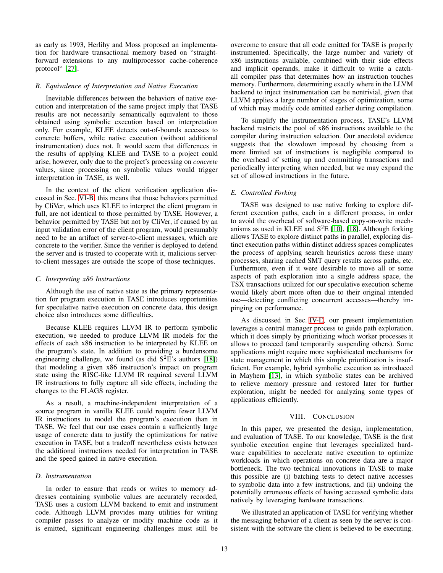as early as 1993, Herlihy and Moss proposed an implementation for hardware transactional memory based on "straightforward extensions to any multiprocessor cache-coherence protocol" [\[27\]](#page-13-37).

## *B. Equivalence of Interpretation and Native Execution*

Inevitable differences between the behaviors of native execution and interpretation of the same project imply that TASE results are not necessarily semantically equivalent to those obtained using symbolic execution based on interpretation only. For example, KLEE detects out-of-bounds accesses to concrete buffers, while native execution (without additional instrumentation) does not. It would seem that differences in the results of applying KLEE and TASE to a project could arise, however, only due to the project's processing on *concrete* values, since processing on symbolic values would trigger interpretation in TASE, as well.

In the context of the client verification application discussed in Sec. [VI-B,](#page-9-0) this means that those behaviors permitted by CliVer, which uses KLEE to interpret the client program in full, are not identical to those permitted by TASE. However, a behavior permitted by TASE but not by CliVer, if caused by an input validation error of the client program, would presumably need to be an artifact of server-to-client messages, which are concrete to the verifier. Since the verifier is deployed to defend the server and is trusted to cooperate with it, malicious serverto-client messages are outside the scope of those techniques.

## <span id="page-12-1"></span>*C. Interpreting x86 Instructions*

Although the use of native state as the primary representation for program execution in TASE introduces opportunities for speculative native execution on concrete data, this design choice also introduces some difficulties.

Because KLEE requires LLVM IR to perform symbolic execution, we needed to produce LLVM IR models for the effects of each x86 instruction to be interpreted by KLEE on the program's state. In addition to providing a burdensome engineering challenge, we found (as did  $S^2E$ 's authors [\[18\]](#page-13-15)) that modeling a given x86 instruction's impact on program state using the RISC-like LLVM IR required several LLVM IR instructions to fully capture all side effects, including the changes to the FLAGS register.

As a result, a machine-independent interpretation of a source program in vanilla KLEE could require fewer LLVM IR instructions to model the program's execution than in TASE. We feel that our use cases contain a sufficiently large usage of concrete data to justify the optimizations for native execution in TASE, but a tradeoff nevertheless exists between the additional instructions needed for interpretation in TASE and the speed gained in native execution.

# *D. Instrumentation*

In order to ensure that reads or writes to memory addresses containing symbolic values are accurately recorded, TASE uses a custom LLVM backend to emit and instrument code. Although LLVM provides many utilities for writing compiler passes to analyze or modify machine code as it is emitted, significant engineering challenges must still be overcome to ensure that all code emitted for TASE is properly instrumented. Specifically, the large number and variety of x86 instructions available, combined with their side effects and implicit operands, make it difficult to write a catchall compiler pass that determines how an instruction touches memory. Furthermore, determining exactly where in the LLVM backend to inject instrumentation can be nontrivial, given that LLVM applies a large number of stages of optimization, some of which may modify code emitted earlier during compilation.

To simplify the instrumentation process, TASE's LLVM backend restricts the pool of x86 instructions available to the compiler during instruction selection. Our anecdotal evidence suggests that the slowdown imposed by choosing from a more limited set of instructions is negligible compared to the overhead of setting up and committing transactions and periodically interpreting when needed, but we may expand the set of allowed instructions in the future.

# *E. Controlled Forking*

TASE was designed to use native forking to explore different execution paths, each in a different process, in order to avoid the overhead of software-based copy-on-write mechanisms as used in KLEE and  $S<sup>2</sup>E$  [\[10\]](#page-13-14), [\[18\]](#page-13-15). Although forking allows TASE to explore distinct paths in parallel, exploring distinct execution paths within distinct address spaces complicates the process of applying search heuristics across these many processes, sharing cached SMT query results across paths, etc. Furthermore, even if it were desirable to move all or some aspects of path exploration into a single address space, the TSX transactions utilized for our speculative execution scheme would likely abort more often due to their original intended use—detecting conflicting concurrent accesses—thereby impinging on performance.

As discussed in Sec. [IV-E,](#page-6-0) our present implementation leverages a central manager process to guide path exploration, which it does simply by prioritizing which worker processes it allows to proceed (and temporarily suspending others). Some applications might require more sophisticated mechanisms for state management in which this simple prioritization is insufficient. For example, hybrid symbolic execution as introduced in Mayhem [\[13\]](#page-13-17), in which symbolic states can be archived to relieve memory pressure and restored later for further exploration, might be needed for analyzing some types of applications efficiently.

## VIII. CONCLUSION

<span id="page-12-0"></span>In this paper, we presented the design, implementation, and evaluation of TASE. To our knowledge, TASE is the first symbolic execution engine that leverages specialized hardware capabilities to accelerate native execution to optimize workloads in which operations on concrete data are a major bottleneck. The two technical innovations in TASE to make this possible are (i) batching tests to detect native accesses to symbolic data into a few instructions, and (ii) undoing the potentially erroneous effects of having accessed symbolic data natively by leveraging hardware transactions.

We illustrated an application of TASE for verifying whether the messaging behavior of a client as seen by the server is consistent with the software the client is believed to be executing.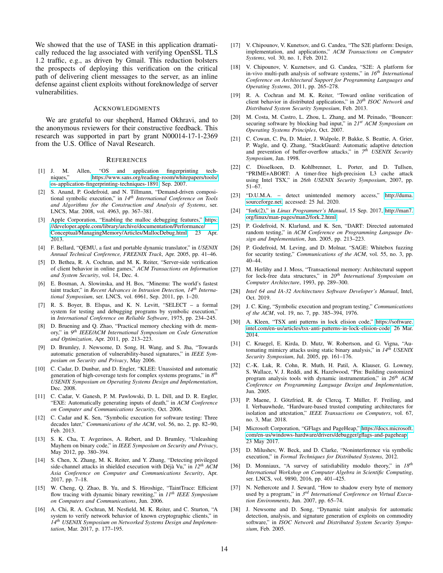We showed that the use of TASE in this application dramatically reduced the lag associated with verifying OpenSSL TLS 1.2 traffic, e.g., as driven by Gmail. This reduction bolsters the prospects of deploying this verification on the critical path of delivering client messages to the server, as an inline defense against client exploits without foreknowledge of server vulnerabilities.

#### ACKNOWLEDGMENTS

We are grateful to our shepherd, Hamed Okhravi, and to the anonymous reviewers for their constructive feedback. This research was supported in part by grant N00014-17-1-2369 from the U.S. Office of Naval Research.

## **REFERENCES**

- <span id="page-13-29"></span>[1] J. M. Allen, "OS and application fingerprinting techniques," [https://www.sans.org/reading-room/whitepapers/tools/](https://www.sans.org/reading-room/whitepapers/tools/os-application-fingerprinting-techniques-1891) [os-application-fingerprinting-techniques-1891,](https://www.sans.org/reading-room/whitepapers/tools/os-application-fingerprinting-techniques-1891) Sep. 2007.
- <span id="page-13-8"></span>[2] S. Anand, P. Godefroid, and N. Tillmann, "Demand-driven compositional symbolic execution," in *14th International Conference on Tools and Algorithms for the Construction and Analysis of Systems*, ser. LNCS, Mar. 2008, vol. 4963, pp. 367–381.
- <span id="page-13-34"></span>[3] Apple Corporation, "Enabling the malloc debugging features," [https:](https://developer.apple.com/library/archive/documentation/Performance/Conceptual/ManagingMemory/Articles/MallocDebug.html) [//developer.apple.com/library/archive/documentation/Performance/](https://developer.apple.com/library/archive/documentation/Performance/Conceptual/ManagingMemory/Articles/MallocDebug.html) [Conceptual/ManagingMemory/Articles/MallocDebug.html,](https://developer.apple.com/library/archive/documentation/Performance/Conceptual/ManagingMemory/Articles/MallocDebug.html) 23 Apr. 2013.
- <span id="page-13-16"></span>[4] F. Bellard, "QEMU, a fast and portable dynamic translator," in *USENIX Annual Technical Conference, FREENIX Track*, Apr. 2005, pp. 41–46.
- <span id="page-13-27"></span>[5] D. Bethea, R. A. Cochran, and M. K. Reiter, "Server-side verification of client behavior in online games," *ACM Transactions on Information and System Security*, vol. 14, Dec. 4.
- <span id="page-13-25"></span>[6] E. Bosman, A. Slowinska, and H. Bos, "Minemu: The world's fastest taint tracker," in *Recent Advances in Intrusion Detection, 14th International Symposium*, ser. LNCS, vol. 6961, Sep. 2011, pp. 1–20.
- <span id="page-13-0"></span>[7] R. S. Boyer, B. Elspas, and K. N. Levitt, "SELECT – a formal system for testing and debugging programs by symbolic execution," in *International Conference on Reliable Software*, 1975, pp. 234–245.
- <span id="page-13-33"></span>[8] D. Bruening and Q. Zhao, "Practical memory checking with dr. memory," in *9 th IEEE/ACM International Symposium on Code Generation and Optimization*, Apr. 2011, pp. 213–223.
- <span id="page-13-3"></span>[9] D. Brumley, J. Newsome, D. Song, H. Wang, and S. Jha, "Towards automatic generation of vulnerability-based signatures," in *IEEE Symposium on Security and Privacy*, May 2006.
- <span id="page-13-14"></span>[10] C. Cadar, D. Dunbar, and D. Engler, "KLEE: Unassisted and automatic generation of high-coverage tests for complex systems programs," in *8 th USENIX Symposium on Operating Systems Design and Implementation*, Dec. 2008.
- <span id="page-13-4"></span>[11] C. Cadar, V. Ganesh, P. M. Pawlowski, D. L. Dill, and D. R. Engler, "EXE: Automatically generating inputs of death," in *ACM Conference on Computer and Communications Security*, Oct. 2006.
- <span id="page-13-10"></span>[12] C. Cadar and K. Sen, "Symbolic execution for software testing: Three decades later," *Communications of the ACM*, vol. 56, no. 2, pp. 82–90, Feb. 2013.
- <span id="page-13-17"></span>[13] S. K. Cha, T. Avgerinos, A. Rebert, and D. Brumley, "Unleashing Mayhem on binary code," in *IEEE Symposium on Security and Privacy*, May 2012, pp. 380–394.
- <span id="page-13-21"></span>[14] S. Chen, X. Zhang, M. K. Reiter, and Y. Zhang, "Detecting privileged side-channel attacks in shielded execution with Déjà Vu," in  $12^{th}$  *ACM Asia Conference on Computer and Communications Security*, Apr. 2017, pp. 7–18.
- <span id="page-13-31"></span>[15] W. Cheng, Q. Zhao, B. Yu, and S. Hiroshige, "TaintTrace: Efficient flow tracing with dynamic binary rewriting," in *11th IEEE Symposium on Computers and Communications*, Jun. 2006.
- <span id="page-13-13"></span>[16] A. Chi, R. A. Cochran, M. Nesfield, M. K. Reiter, and C. Sturton, "A system to verify network behavior of known cryptographic clients," in *14th USENIX Symposium on Networked Systems Design and Implementation*, Mar. 2017, p. 177–195.
- <span id="page-13-19"></span>[17] V. Chipounov, V. Kunetsov, and G. Candea, "The S2E platform: Design, implementation, and applications," *ACM Transactions on Computer Systems*, vol. 30, no. 1, Feb. 2012.
- <span id="page-13-15"></span>[18] V. Chipounov, V. Kuznetsov, and G. Candea, "S2E: A platform for in-vivo multi-path analysis of software systems," in *16th International Conference on Architectural Support for Programming Languages and Operating Systems*, 2011, pp. 265–278.
- <span id="page-13-12"></span>[19] R. A. Cochran and M. K. Reiter, "Toward online verification of client behavior in distributed applications," in *20th ISOC Network and Distributed System Security Symposium*, Feb. 2013.
- <span id="page-13-5"></span>[20] M. Costa, M. Castro, L. Zhou, L. Zhang, and M. Peinado, "Bouncer: securing software by blocking bad input," in *21st ACM Symposium on Operating Systems Principles*, Oct. 2007.
- <span id="page-13-30"></span>[21] C. Cowan, C. Pu, D. Maier, J. Walpole, P. Bakke, S. Beattie, A. Grier, P. Wagle, and Q. Zhang, "StackGuard: Automatic adaptive detection and prevention of buffer-overflow attacks," in  $7<sup>th</sup>$  *USENIX Security Symposium*, Jan. 1998.
- <span id="page-13-22"></span>[22] C. Disselkoen, D. Kohlbrenner, L. Porter, and D. Tullsen, "PRIME+ABORT: A timer-free high-precision L3 cache attack using Intel TSX," in *26th USENIX Security Symposium*, 2007, pp. 51–67.
- <span id="page-13-36"></span>[23] "D.U.M.A. – detect unintended memory access," [http://duma.](http://duma.sourceforge.net) [sourceforge.net,](http://duma.sourceforge.net) accessed: 25 Jul. 2020.
- <span id="page-13-26"></span>[24] "fork(2)," in *Linux Programmer's Manual*, 15 Sep. 2017, [http://man7.](http://man7.org/linux/man-pages/man2/fork.2.html) [org/linux/man-pages/man2/fork.2.html.](http://man7.org/linux/man-pages/man2/fork.2.html)
- <span id="page-13-7"></span>[25] P. Godefroid, N. Klarlund, and K. Sen, "DART: Directed automated random testing," in *ACM Conference on Programming Language Design and Implementation*, Jun. 2005, pp. 213–223.
- <span id="page-13-9"></span>[26] P. Godefroid, M. Leving, and D. Molnar, "SAGE: Whitebox fuzzing for security testing," *Communications of the ACM*, vol. 55, no. 3, pp. 40–44.
- <span id="page-13-37"></span>[27] M. Herlihy and J. Moss, "Transactional memory: Architectural support for lock-free data structures," in *20th International Symposium on Computer Architecture*, 1993, pp. 289–300.
- <span id="page-13-20"></span>[28] *Intel 64 and IA-32 Architectures Software Developer's Manual*, Intel, Oct. 2019.
- <span id="page-13-1"></span>[29] J. C. King, "Symbolic execution and program testing," *Communications of the ACM*, vol. 19, no. 7, pp. 385–394, 1976.
- <span id="page-13-24"></span>[30] A. Kleen, "TSX anti patterns in lock elision code," [https://software.](https://software.intel.com/en-us/articles/tsx-anti-patterns-in-lock-elision-code) [intel.com/en-us/articles/tsx-anti-patterns-in-lock-elision-code,](https://software.intel.com/en-us/articles/tsx-anti-patterns-in-lock-elision-code) 26 Mar. 2014.
- <span id="page-13-2"></span>[31] C. Kruegel, E. Kirda, D. Mutz, W. Robertson, and G. Vigna, "Automating mimicry attacks using static binary analysis," in *14th USENIX Security Symposium*, Jul. 2005, pp. 161–176.
- <span id="page-13-23"></span>[32] C.-K. Luk, R. Cohn, R. Muth, H. Patil, A. Klauser, G. Lowney, S. Wallace, V. J. Reddi, and K. Hazelwood, "Pin: Building customized program analysis tools with dynamic instrumentation," in *26th ACM Conference on Programming Language Design and Implementation*, Jun. 2005.
- <span id="page-13-28"></span>[33] P. Maene, J. Götzfried, R. de Clercq, T. Müller, F. Freiling, and I. Verbauwhede, "Hardware-based trusted computing architectures for isolation and attestation," *IEEE Transactions on Computers*, vol. 67, no. 3, Mar. 2018.
- <span id="page-13-35"></span>[34] Microsoft Corporation, "GFlags and PageHeap," [https://docs.microsoft.](https://docs.microsoft.com/en-us/windows-hardware/drivers/debugger/gflags-and-pageheap) [com/en-us/windows-hardware/drivers/debugger/gflags-and-pageheap,](https://docs.microsoft.com/en-us/windows-hardware/drivers/debugger/gflags-and-pageheap) 23 May 2017.
- <span id="page-13-6"></span>[35] D. Milushev, W. Beck, and D. Clarke, "Noninterference via symbolic execution," in *Formal Techniques for Distributed Systems*, 2012.
- <span id="page-13-11"></span>[36] D. Monniaux, "A survey of satisfiability modulo theory," in *18th International Workshop on Computer Algebra in Scientific Computing*, ser. LNCS, vol. 9890, 2016, pp. 401–425.
- <span id="page-13-32"></span>[37] N. Nethercote and J. Seward, "How to shadow every byte of memory used by a program," in *3 rd International Conference on Virtual Execution Environments*, Jun. 2007, pp. 65–74.
- <span id="page-13-18"></span>[38] J. Newsome and D. Song, "Dynamic taint analysis for automatic detection, analysis, and signature generation of exploits on commodity software," in *ISOC Network and Distributed System Security Symposium*, Feb. 2005.